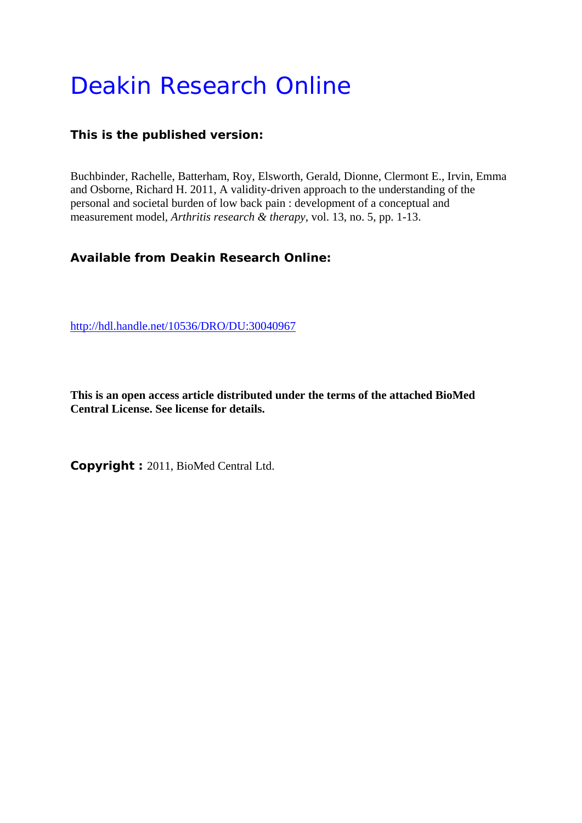# Deakin Research Online

# **This is the published version:**

Buchbinder, Rachelle, Batterham, Roy, Elsworth, Gerald, Dionne, Clermont E., Irvin, Emma and Osborne, Richard H. 2011, A validity-driven approach to the understanding of the personal and societal burden of low back pain : development of a conceptual and measurement model*, Arthritis research & therapy*, vol. 13, no. 5, pp. 1-13.

# **Available from Deakin Research Online:**

http://hdl.handle.net/10536/DRO/DU:30040967

**This is an open access article distributed under the terms of the attached BioMed Central License. See license for details.** 

**Copyright :** 2011, BioMed Central Ltd.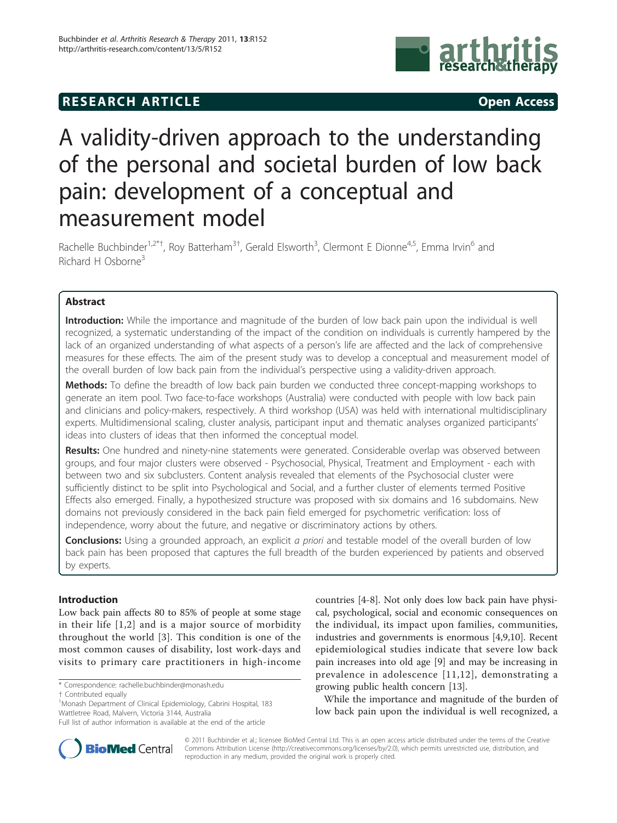# **RESEARCH ARTICLE Example 2014 CONSIDERING CONSIDERING CONSIDERING CONSIDERING CONSIDERING CONSIDERING CONSIDERING CONSIDERING CONSIDERING CONSIDERING CONSIDERING CONSIDERING CONSIDERING CONSIDERING CONSIDERING CONSIDE**



# A validity-driven approach to the understanding of the personal and societal burden of low back pain: development of a conceptual and measurement model

Rachelle Buchbinder<sup>1,2\*†</sup>, Roy Batterham<sup>3†</sup>, Gerald Elsworth<sup>3</sup>, Clermont E Dionne<sup>4,5</sup>, Emma Irvin<sup>6</sup> and Richard H Osborne3

# Abstract

Introduction: While the importance and magnitude of the burden of low back pain upon the individual is well recognized, a systematic understanding of the impact of the condition on individuals is currently hampered by the lack of an organized understanding of what aspects of a person's life are affected and the lack of comprehensive measures for these effects. The aim of the present study was to develop a conceptual and measurement model of the overall burden of low back pain from the individual's perspective using a validity-driven approach.

Methods: To define the breadth of low back pain burden we conducted three concept-mapping workshops to generate an item pool. Two face-to-face workshops (Australia) were conducted with people with low back pain and clinicians and policy-makers, respectively. A third workshop (USA) was held with international multidisciplinary experts. Multidimensional scaling, cluster analysis, participant input and thematic analyses organized participants' ideas into clusters of ideas that then informed the conceptual model.

Results: One hundred and ninety-nine statements were generated. Considerable overlap was observed between groups, and four major clusters were observed - Psychosocial, Physical, Treatment and Employment - each with between two and six subclusters. Content analysis revealed that elements of the Psychosocial cluster were sufficiently distinct to be split into Psychological and Social, and a further cluster of elements termed Positive Effects also emerged. Finally, a hypothesized structure was proposed with six domains and 16 subdomains. New domains not previously considered in the back pain field emerged for psychometric verification: loss of independence, worry about the future, and negative or discriminatory actions by others.

**Conclusions:** Using a grounded approach, an explicit a priori and testable model of the overall burden of low back pain has been proposed that captures the full breadth of the burden experienced by patients and observed by experts.

# Introduction

Low back pain affects 80 to 85% of people at some stage in their life [[1,2\]](#page-12-0) and is a major source of morbidity throughout the world [[3](#page-12-0)]. This condition is one of the most common causes of disability, lost work-days and visits to primary care practitioners in high-income

\* Correspondence: [rachelle.buchbinder@monash.edu](mailto:rachelle.buchbinder@monash.edu)

countries [[4-8](#page-12-0)]. Not only does low back pain have physical, psychological, social and economic consequences on the individual, its impact upon families, communities, industries and governments is enormous [[4](#page-12-0),[9](#page-12-0),[10](#page-12-0)]. Recent epidemiological studies indicate that severe low back pain increases into old age [\[9](#page-12-0)] and may be increasing in prevalence in adolescence [[11](#page-12-0),[12\]](#page-12-0), demonstrating a growing public health concern [\[13](#page-12-0)].

While the importance and magnitude of the burden of low back pain upon the individual is well recognized, a



© 2011 Buchbinder et al.; licensee BioMed Central Ltd. This is an open access article distributed under the terms of the Creative Commons Attribution License [\(http://creativecommons.org/licenses/by/2.0](http://creativecommons.org/licenses/by/2.0)), which permits unrestricted use, distribution, and reproduction in any medium, provided the original work is properly cited.

<sup>†</sup> Contributed equally <sup>1</sup>

<sup>&</sup>lt;sup>1</sup> Monash Department of Clinical Epidemiology, Cabrini Hospital, 183 Wattletree Road, Malvern, Victoria 3144, Australia

Full list of author information is available at the end of the article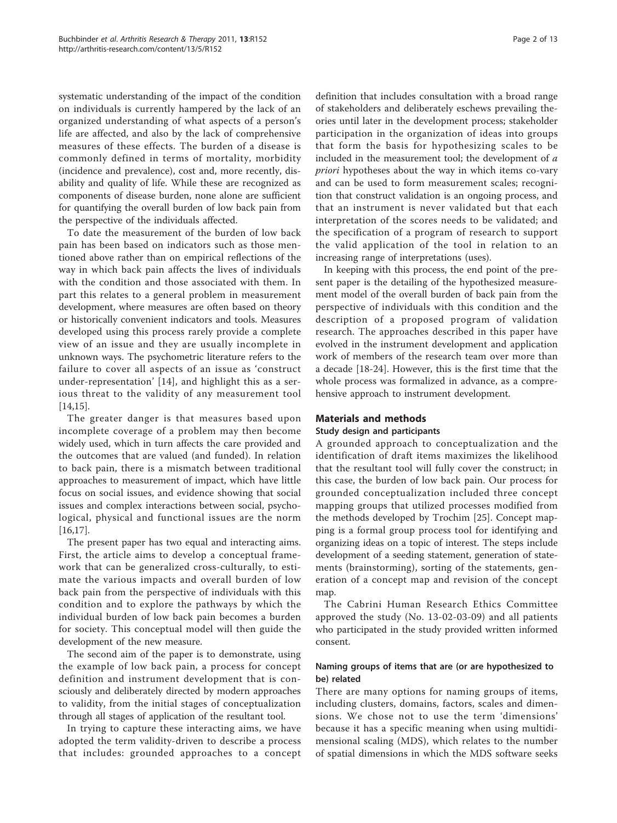systematic understanding of the impact of the condition on individuals is currently hampered by the lack of an organized understanding of what aspects of a person's life are affected, and also by the lack of comprehensive measures of these effects. The burden of a disease is commonly defined in terms of mortality, morbidity (incidence and prevalence), cost and, more recently, disability and quality of life. While these are recognized as components of disease burden, none alone are sufficient for quantifying the overall burden of low back pain from the perspective of the individuals affected.

To date the measurement of the burden of low back pain has been based on indicators such as those mentioned above rather than on empirical reflections of the way in which back pain affects the lives of individuals with the condition and those associated with them. In part this relates to a general problem in measurement development, where measures are often based on theory or historically convenient indicators and tools. Measures developed using this process rarely provide a complete view of an issue and they are usually incomplete in unknown ways. The psychometric literature refers to the failure to cover all aspects of an issue as 'construct under-representation' [[14\]](#page-12-0), and highlight this as a serious threat to the validity of any measurement tool [[14,15\]](#page-12-0).

The greater danger is that measures based upon incomplete coverage of a problem may then become widely used, which in turn affects the care provided and the outcomes that are valued (and funded). In relation to back pain, there is a mismatch between traditional approaches to measurement of impact, which have little focus on social issues, and evidence showing that social issues and complex interactions between social, psychological, physical and functional issues are the norm [[16,17\]](#page-12-0).

The present paper has two equal and interacting aims. First, the article aims to develop a conceptual framework that can be generalized cross-culturally, to estimate the various impacts and overall burden of low back pain from the perspective of individuals with this condition and to explore the pathways by which the individual burden of low back pain becomes a burden for society. This conceptual model will then guide the development of the new measure.

The second aim of the paper is to demonstrate, using the example of low back pain, a process for concept definition and instrument development that is consciously and deliberately directed by modern approaches to validity, from the initial stages of conceptualization through all stages of application of the resultant tool.

In trying to capture these interacting aims, we have adopted the term validity-driven to describe a process that includes: grounded approaches to a concept definition that includes consultation with a broad range of stakeholders and deliberately eschews prevailing theories until later in the development process; stakeholder participation in the organization of ideas into groups that form the basis for hypothesizing scales to be included in the measurement tool; the development of a priori hypotheses about the way in which items co-vary and can be used to form measurement scales; recognition that construct validation is an ongoing process, and that an instrument is never validated but that each interpretation of the scores needs to be validated; and the specification of a program of research to support the valid application of the tool in relation to an increasing range of interpretations (uses).

In keeping with this process, the end point of the present paper is the detailing of the hypothesized measurement model of the overall burden of back pain from the perspective of individuals with this condition and the description of a proposed program of validation research. The approaches described in this paper have evolved in the instrument development and application work of members of the research team over more than a decade [\[18-24](#page-12-0)]. However, this is the first time that the whole process was formalized in advance, as a comprehensive approach to instrument development.

#### Materials and methods

#### Study design and participants

A grounded approach to conceptualization and the identification of draft items maximizes the likelihood that the resultant tool will fully cover the construct; in this case, the burden of low back pain. Our process for grounded conceptualization included three concept mapping groups that utilized processes modified from the methods developed by Trochim [\[25](#page-12-0)]. Concept mapping is a formal group process tool for identifying and organizing ideas on a topic of interest. The steps include development of a seeding statement, generation of statements (brainstorming), sorting of the statements, generation of a concept map and revision of the concept map.

The Cabrini Human Research Ethics Committee approved the study (No. 13-02-03-09) and all patients who participated in the study provided written informed consent.

## Naming groups of items that are (or are hypothesized to be) related

There are many options for naming groups of items, including clusters, domains, factors, scales and dimensions. We chose not to use the term 'dimensions' because it has a specific meaning when using multidimensional scaling (MDS), which relates to the number of spatial dimensions in which the MDS software seeks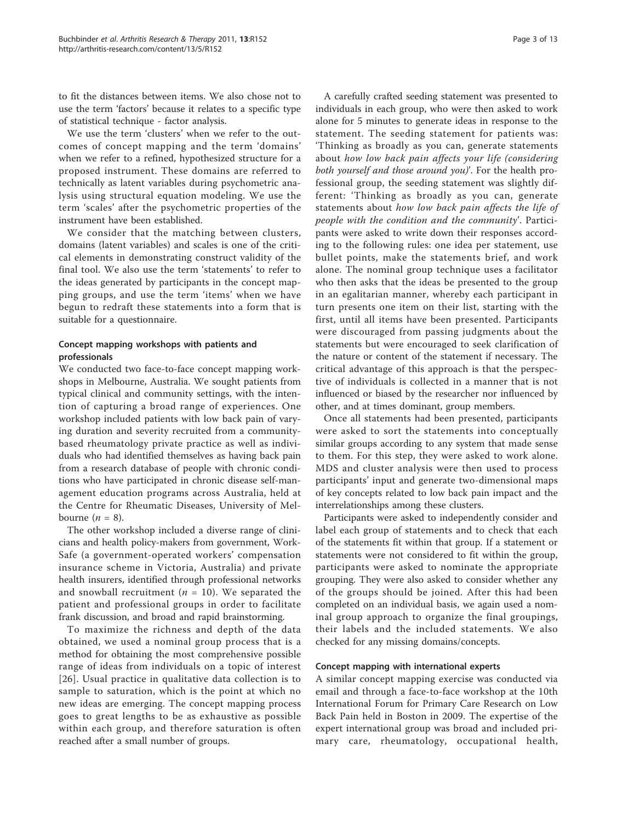to fit the distances between items. We also chose not to use the term 'factors' because it relates to a specific type of statistical technique - factor analysis.

We use the term 'clusters' when we refer to the outcomes of concept mapping and the term 'domains' when we refer to a refined, hypothesized structure for a proposed instrument. These domains are referred to technically as latent variables during psychometric analysis using structural equation modeling. We use the term 'scales' after the psychometric properties of the instrument have been established.

We consider that the matching between clusters, domains (latent variables) and scales is one of the critical elements in demonstrating construct validity of the final tool. We also use the term 'statements' to refer to the ideas generated by participants in the concept mapping groups, and use the term 'items' when we have begun to redraft these statements into a form that is suitable for a questionnaire.

## Concept mapping workshops with patients and professionals

We conducted two face-to-face concept mapping workshops in Melbourne, Australia. We sought patients from typical clinical and community settings, with the intention of capturing a broad range of experiences. One workshop included patients with low back pain of varying duration and severity recruited from a communitybased rheumatology private practice as well as individuals who had identified themselves as having back pain from a research database of people with chronic conditions who have participated in chronic disease self-management education programs across Australia, held at the Centre for Rheumatic Diseases, University of Melbourne  $(n = 8)$ .

The other workshop included a diverse range of clinicians and health policy-makers from government, Work-Safe (a government-operated workers' compensation insurance scheme in Victoria, Australia) and private health insurers, identified through professional networks and snowball recruitment ( $n = 10$ ). We separated the patient and professional groups in order to facilitate frank discussion, and broad and rapid brainstorming.

To maximize the richness and depth of the data obtained, we used a nominal group process that is a method for obtaining the most comprehensive possible range of ideas from individuals on a topic of interest [[26](#page-12-0)]. Usual practice in qualitative data collection is to sample to saturation, which is the point at which no new ideas are emerging. The concept mapping process goes to great lengths to be as exhaustive as possible within each group, and therefore saturation is often reached after a small number of groups.

A carefully crafted seeding statement was presented to individuals in each group, who were then asked to work alone for 5 minutes to generate ideas in response to the statement. The seeding statement for patients was: 'Thinking as broadly as you can, generate statements about how low back pain affects your life (considering both yourself and those around you)'. For the health professional group, the seeding statement was slightly different: 'Thinking as broadly as you can, generate statements about how low back pain affects the life of people with the condition and the community'. Participants were asked to write down their responses according to the following rules: one idea per statement, use bullet points, make the statements brief, and work alone. The nominal group technique uses a facilitator who then asks that the ideas be presented to the group in an egalitarian manner, whereby each participant in turn presents one item on their list, starting with the first, until all items have been presented. Participants were discouraged from passing judgments about the statements but were encouraged to seek clarification of the nature or content of the statement if necessary. The critical advantage of this approach is that the perspective of individuals is collected in a manner that is not influenced or biased by the researcher nor influenced by other, and at times dominant, group members.

Once all statements had been presented, participants were asked to sort the statements into conceptually similar groups according to any system that made sense to them. For this step, they were asked to work alone. MDS and cluster analysis were then used to process participants' input and generate two-dimensional maps of key concepts related to low back pain impact and the interrelationships among these clusters.

Participants were asked to independently consider and label each group of statements and to check that each of the statements fit within that group. If a statement or statements were not considered to fit within the group, participants were asked to nominate the appropriate grouping. They were also asked to consider whether any of the groups should be joined. After this had been completed on an individual basis, we again used a nominal group approach to organize the final groupings, their labels and the included statements. We also checked for any missing domains/concepts.

#### Concept mapping with international experts

A similar concept mapping exercise was conducted via email and through a face-to-face workshop at the 10th International Forum for Primary Care Research on Low Back Pain held in Boston in 2009. The expertise of the expert international group was broad and included primary care, rheumatology, occupational health,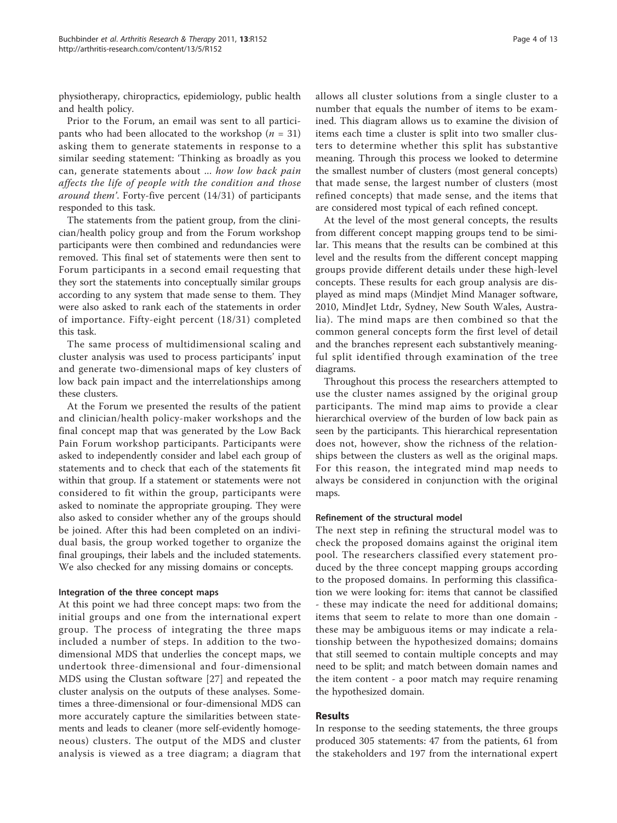physiotherapy, chiropractics, epidemiology, public health and health policy.

Prior to the Forum, an email was sent to all participants who had been allocated to the workshop ( $n = 31$ ) asking them to generate statements in response to a similar seeding statement: 'Thinking as broadly as you can, generate statements about ... how low back pain affects the life of people with the condition and those around them'. Forty-five percent (14/31) of participants responded to this task.

The statements from the patient group, from the clinician/health policy group and from the Forum workshop participants were then combined and redundancies were removed. This final set of statements were then sent to Forum participants in a second email requesting that they sort the statements into conceptually similar groups according to any system that made sense to them. They were also asked to rank each of the statements in order of importance. Fifty-eight percent (18/31) completed this task.

The same process of multidimensional scaling and cluster analysis was used to process participants' input and generate two-dimensional maps of key clusters of low back pain impact and the interrelationships among these clusters.

At the Forum we presented the results of the patient and clinician/health policy-maker workshops and the final concept map that was generated by the Low Back Pain Forum workshop participants. Participants were asked to independently consider and label each group of statements and to check that each of the statements fit within that group. If a statement or statements were not considered to fit within the group, participants were asked to nominate the appropriate grouping. They were also asked to consider whether any of the groups should be joined. After this had been completed on an individual basis, the group worked together to organize the final groupings, their labels and the included statements. We also checked for any missing domains or concepts.

#### Integration of the three concept maps

At this point we had three concept maps: two from the initial groups and one from the international expert group. The process of integrating the three maps included a number of steps. In addition to the twodimensional MDS that underlies the concept maps, we undertook three-dimensional and four-dimensional MDS using the Clustan software [\[27](#page-12-0)] and repeated the cluster analysis on the outputs of these analyses. Sometimes a three-dimensional or four-dimensional MDS can more accurately capture the similarities between statements and leads to cleaner (more self-evidently homogeneous) clusters. The output of the MDS and cluster analysis is viewed as a tree diagram; a diagram that

allows all cluster solutions from a single cluster to a number that equals the number of items to be examined. This diagram allows us to examine the division of items each time a cluster is split into two smaller clusters to determine whether this split has substantive meaning. Through this process we looked to determine the smallest number of clusters (most general concepts) that made sense, the largest number of clusters (most refined concepts) that made sense, and the items that are considered most typical of each refined concept.

At the level of the most general concepts, the results from different concept mapping groups tend to be similar. This means that the results can be combined at this level and the results from the different concept mapping groups provide different details under these high-level concepts. These results for each group analysis are displayed as mind maps (Mindjet Mind Manager software, 2010, MindJet Ltdr, Sydney, New South Wales, Australia). The mind maps are then combined so that the common general concepts form the first level of detail and the branches represent each substantively meaningful split identified through examination of the tree diagrams.

Throughout this process the researchers attempted to use the cluster names assigned by the original group participants. The mind map aims to provide a clear hierarchical overview of the burden of low back pain as seen by the participants. This hierarchical representation does not, however, show the richness of the relationships between the clusters as well as the original maps. For this reason, the integrated mind map needs to always be considered in conjunction with the original maps.

#### Refinement of the structural model

The next step in refining the structural model was to check the proposed domains against the original item pool. The researchers classified every statement produced by the three concept mapping groups according to the proposed domains. In performing this classification we were looking for: items that cannot be classified - these may indicate the need for additional domains; items that seem to relate to more than one domain these may be ambiguous items or may indicate a relationship between the hypothesized domains; domains that still seemed to contain multiple concepts and may need to be split; and match between domain names and the item content - a poor match may require renaming the hypothesized domain.

### Results

In response to the seeding statements, the three groups produced 305 statements: 47 from the patients, 61 from the stakeholders and 197 from the international expert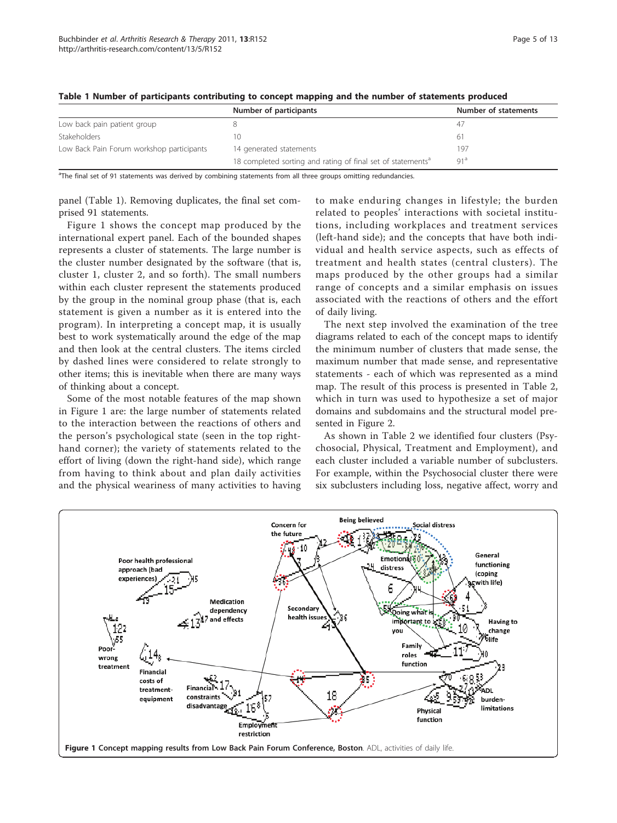| Number of participants                                                  | Number of statements |
|-------------------------------------------------------------------------|----------------------|
|                                                                         | 47                   |
|                                                                         | 61                   |
| 14 generated statements                                                 | 197                  |
| 18 completed sorting and rating of final set of statements <sup>a</sup> | 91 <sup>a</sup>      |
|                                                                         |                      |

Table 1 Number of participants contributing to concept mapping and the number of statements produced

<sup>a</sup>The final set of 91 statements was derived by combining statements from all three groups omitting redundancies.

panel (Table 1). Removing duplicates, the final set comprised 91 statements.

Figure 1 shows the concept map produced by the international expert panel. Each of the bounded shapes represents a cluster of statements. The large number is the cluster number designated by the software (that is, cluster 1, cluster 2, and so forth). The small numbers within each cluster represent the statements produced by the group in the nominal group phase (that is, each statement is given a number as it is entered into the program). In interpreting a concept map, it is usually best to work systematically around the edge of the map and then look at the central clusters. The items circled by dashed lines were considered to relate strongly to other items; this is inevitable when there are many ways of thinking about a concept.

Some of the most notable features of the map shown in Figure 1 are: the large number of statements related to the interaction between the reactions of others and the person's psychological state (seen in the top righthand corner); the variety of statements related to the effort of living (down the right-hand side), which range from having to think about and plan daily activities and the physical weariness of many activities to having

to make enduring changes in lifestyle; the burden related to peoples' interactions with societal institutions, including workplaces and treatment services (left-hand side); and the concepts that have both individual and health service aspects, such as effects of treatment and health states (central clusters). The maps produced by the other groups had a similar range of concepts and a similar emphasis on issues associated with the reactions of others and the effort of daily living.

The next step involved the examination of the tree diagrams related to each of the concept maps to identify the minimum number of clusters that made sense, the maximum number that made sense, and representative statements - each of which was represented as a mind map. The result of this process is presented in Table [2](#page-6-0), which in turn was used to hypothesize a set of major domains and subdomains and the structural model presented in Figure [2](#page-7-0).

As shown in Table [2](#page-6-0) we identified four clusters (Psychosocial, Physical, Treatment and Employment), and each cluster included a variable number of subclusters. For example, within the Psychosocial cluster there were six subclusters including loss, negative affect, worry and

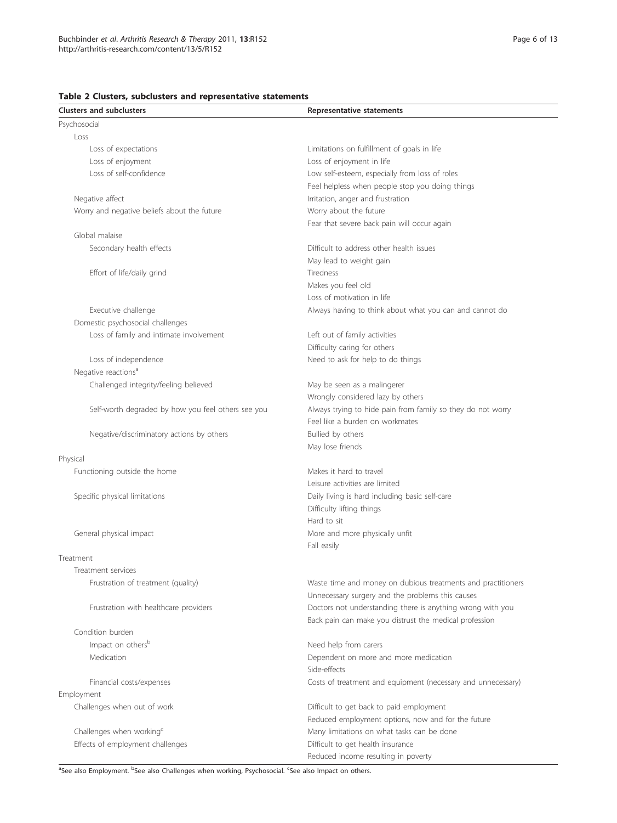### <span id="page-6-0"></span>Table 2 Clusters, subclusters and representative statements

| <b>Clusters and subclusters</b>                    | Representative statements                                    |
|----------------------------------------------------|--------------------------------------------------------------|
| Psychosocial                                       |                                                              |
| Loss                                               |                                                              |
| Loss of expectations                               | Limitations on fulfillment of goals in life                  |
| Loss of enjoyment                                  | Loss of enjoyment in life                                    |
| Loss of self-confidence                            | Low self-esteem, especially from loss of roles               |
|                                                    | Feel helpless when people stop you doing things              |
| Negative affect                                    | Irritation, anger and frustration                            |
| Worry and negative beliefs about the future        | Worry about the future                                       |
|                                                    | Fear that severe back pain will occur again                  |
| Global malaise                                     |                                                              |
| Secondary health effects                           | Difficult to address other health issues                     |
|                                                    | May lead to weight gain                                      |
| Effort of life/daily grind                         | Tiredness                                                    |
|                                                    | Makes you feel old                                           |
|                                                    | Loss of motivation in life                                   |
| Executive challenge                                | Always having to think about what you can and cannot do      |
| Domestic psychosocial challenges                   |                                                              |
| Loss of family and intimate involvement            | Left out of family activities                                |
|                                                    | Difficulty caring for others                                 |
| Loss of independence                               | Need to ask for help to do things                            |
| Negative reactions <sup>a</sup>                    |                                                              |
| Challenged integrity/feeling believed              | May be seen as a malingerer                                  |
|                                                    | Wrongly considered lazy by others                            |
| Self-worth degraded by how you feel others see you | Always trying to hide pain from family so they do not worry  |
|                                                    | Feel like a burden on workmates                              |
| Negative/discriminatory actions by others          | Bullied by others                                            |
|                                                    | May lose friends                                             |
| Physical                                           |                                                              |
| Functioning outside the home                       | Makes it hard to travel                                      |
|                                                    | Leisure activities are limited                               |
| Specific physical limitations                      | Daily living is hard including basic self-care               |
|                                                    | Difficulty lifting things                                    |
|                                                    | Hard to sit                                                  |
| General physical impact                            | More and more physically unfit                               |
|                                                    | Fall easily                                                  |
| Treatment                                          |                                                              |
| Treatment services                                 |                                                              |
| Frustration of treatment (quality)                 | Waste time and money on dubious treatments and practitioners |
|                                                    | Unnecessary surgery and the problems this causes             |
| Frustration with healthcare providers              | Doctors not understanding there is anything wrong with you   |
|                                                    | Back pain can make you distrust the medical profession       |
| Condition burden                                   |                                                              |
| Impact on others <sup>b</sup>                      | Need help from carers                                        |
| Medication                                         | Dependent on more and more medication                        |
|                                                    | Side-effects                                                 |
| Financial costs/expenses                           | Costs of treatment and equipment (necessary and unnecessary) |
| Employment                                         |                                                              |
| Challenges when out of work                        | Difficult to get back to paid employment                     |
|                                                    | Reduced employment options, now and for the future           |
| Challenges when working <sup>c</sup>               | Many limitations on what tasks can be done                   |
| Effects of employment challenges                   | Difficult to get health insurance                            |
|                                                    | Reduced income resulting in poverty                          |

<sup>a</sup>See also Employment. <sup>b</sup>See also Challenges when working, Psychosocial. <sup>c</sup>See also Impact on others.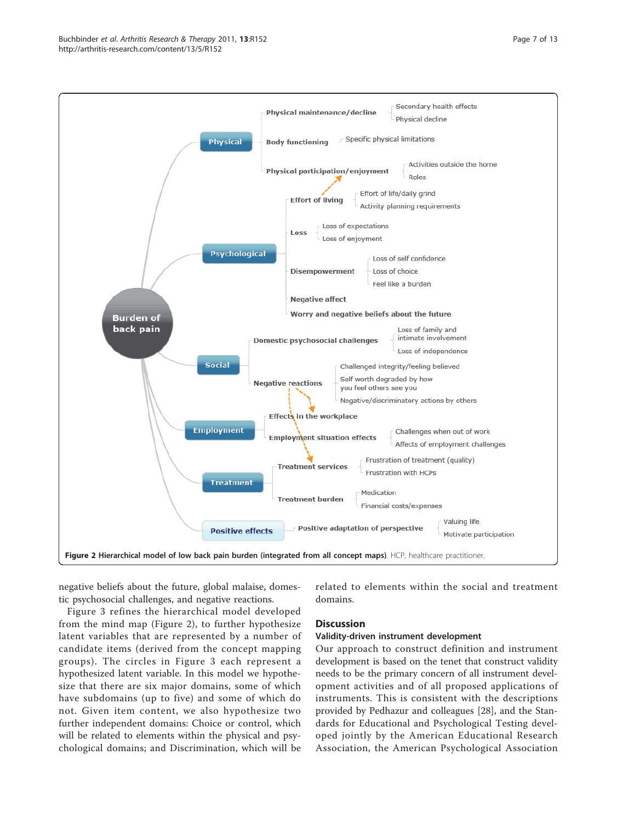<span id="page-7-0"></span>

negative beliefs about the future, global malaise, domestic psychosocial challenges, and negative reactions.

Figure [3](#page-8-0) refines the hierarchical model developed from the mind map (Figure 2), to further hypothesize latent variables that are represented by a number of candidate items (derived from the concept mapping groups). The circles in Figure [3](#page-8-0) each represent a hypothesized latent variable. In this model we hypothesize that there are six major domains, some of which have subdomains (up to five) and some of which do not. Given item content, we also hypothesize two further independent domains: Choice or control, which will be related to elements within the physical and psychological domains; and Discrimination, which will be related to elements within the social and treatment domains.

# **Discussion**

#### Validity-driven instrument development

Our approach to construct definition and instrument development is based on the tenet that construct validity needs to be the primary concern of all instrument development activities and of all proposed applications of instruments. This is consistent with the descriptions provided by Pedhazur and colleagues [\[28\]](#page-12-0), and the Standards for Educational and Psychological Testing developed jointly by the American Educational Research Association, the American Psychological Association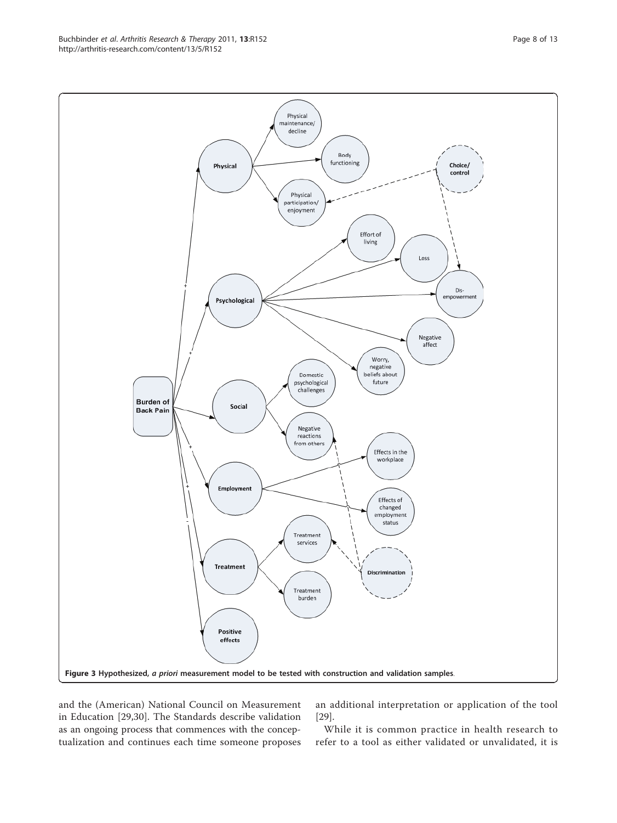and the (American) National Council on Measurement in Education [[29,30](#page-12-0)]. The Standards describe validation as an ongoing process that commences with the conceptualization and continues each time someone proposes

an additional interpretation or application of the tool [[29\]](#page-12-0).

While it is common practice in health research to refer to a tool as either validated or unvalidated, it is

<span id="page-8-0"></span>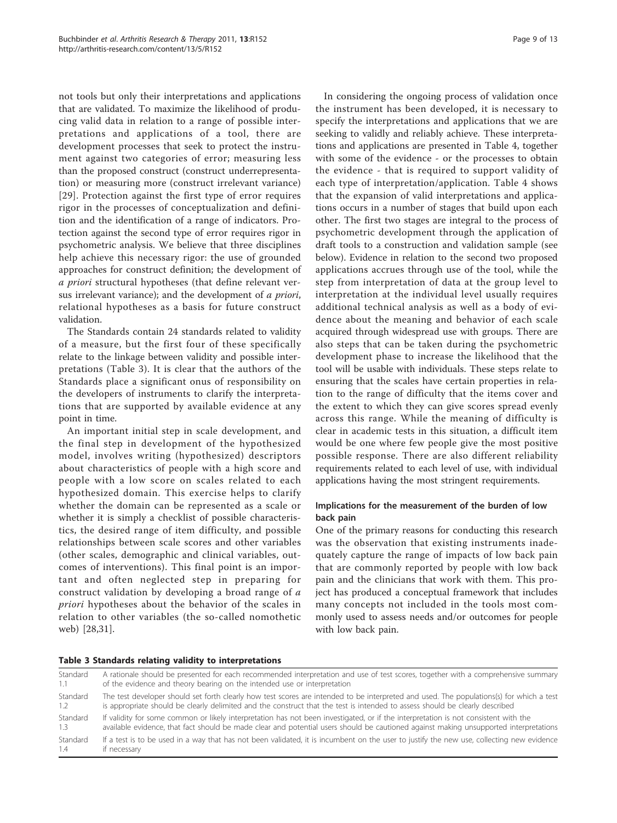not tools but only their interpretations and applications that are validated. To maximize the likelihood of producing valid data in relation to a range of possible interpretations and applications of a tool, there are development processes that seek to protect the instrument against two categories of error; measuring less than the proposed construct (construct underrepresentation) or measuring more (construct irrelevant variance) [[29](#page-12-0)]. Protection against the first type of error requires rigor in the processes of conceptualization and definition and the identification of a range of indicators. Protection against the second type of error requires rigor in psychometric analysis. We believe that three disciplines help achieve this necessary rigor: the use of grounded approaches for construct definition; the development of a priori structural hypotheses (that define relevant versus irrelevant variance); and the development of *a priori*, relational hypotheses as a basis for future construct validation.

The Standards contain 24 standards related to validity of a measure, but the first four of these specifically relate to the linkage between validity and possible interpretations (Table 3). It is clear that the authors of the Standards place a significant onus of responsibility on the developers of instruments to clarify the interpretations that are supported by available evidence at any point in time.

An important initial step in scale development, and the final step in development of the hypothesized model, involves writing (hypothesized) descriptors about characteristics of people with a high score and people with a low score on scales related to each hypothesized domain. This exercise helps to clarify whether the domain can be represented as a scale or whether it is simply a checklist of possible characteristics, the desired range of item difficulty, and possible relationships between scale scores and other variables (other scales, demographic and clinical variables, outcomes of interventions). This final point is an important and often neglected step in preparing for construct validation by developing a broad range of a priori hypotheses about the behavior of the scales in relation to other variables (the so-called nomothetic web) [\[28](#page-12-0)[,31](#page-13-0)].

In considering the ongoing process of validation once the instrument has been developed, it is necessary to specify the interpretations and applications that we are seeking to validly and reliably achieve. These interpretations and applications are presented in Table [4](#page-10-0), together with some of the evidence - or the processes to obtain the evidence - that is required to support validity of each type of interpretation/application. Table [4](#page-10-0) shows that the expansion of valid interpretations and applications occurs in a number of stages that build upon each other. The first two stages are integral to the process of psychometric development through the application of draft tools to a construction and validation sample (see below). Evidence in relation to the second two proposed applications accrues through use of the tool, while the step from interpretation of data at the group level to interpretation at the individual level usually requires additional technical analysis as well as a body of evidence about the meaning and behavior of each scale acquired through widespread use with groups. There are also steps that can be taken during the psychometric development phase to increase the likelihood that the tool will be usable with individuals. These steps relate to ensuring that the scales have certain properties in relation to the range of difficulty that the items cover and the extent to which they can give scores spread evenly across this range. While the meaning of difficulty is clear in academic tests in this situation, a difficult item would be one where few people give the most positive possible response. There are also different reliability requirements related to each level of use, with individual applications having the most stringent requirements.

## Implications for the measurement of the burden of low back pain

One of the primary reasons for conducting this research was the observation that existing instruments inadequately capture the range of impacts of low back pain that are commonly reported by people with low back pain and the clinicians that work with them. This project has produced a conceptual framework that includes many concepts not included in the tools most commonly used to assess needs and/or outcomes for people with low back pain.

#### Table 3 Standards relating validity to interpretations

| Standard | A rationale should be presented for each recommended interpretation and use of test scores, together with a comprehensive summary         |
|----------|-------------------------------------------------------------------------------------------------------------------------------------------|
| 1.1      | of the evidence and theory bearing on the intended use or interpretation                                                                  |
| Standard | The test developer should set forth clearly how test scores are intended to be interpreted and used. The populations(s) for which a test  |
| 1.2      | is appropriate should be clearly delimited and the construct that the test is intended to assess should be clearly described              |
| Standard | If validity for some common or likely interpretation has not been investigated, or if the interpretation is not consistent with the       |
| 1.3      | available evidence, that fact should be made clear and potential users should be cautioned against making unsupported interpretations     |
| Standard | If a test is to be used in a way that has not been validated, it is incumbent on the user to justify the new use, collecting new evidence |
| 1.4      | if necessary                                                                                                                              |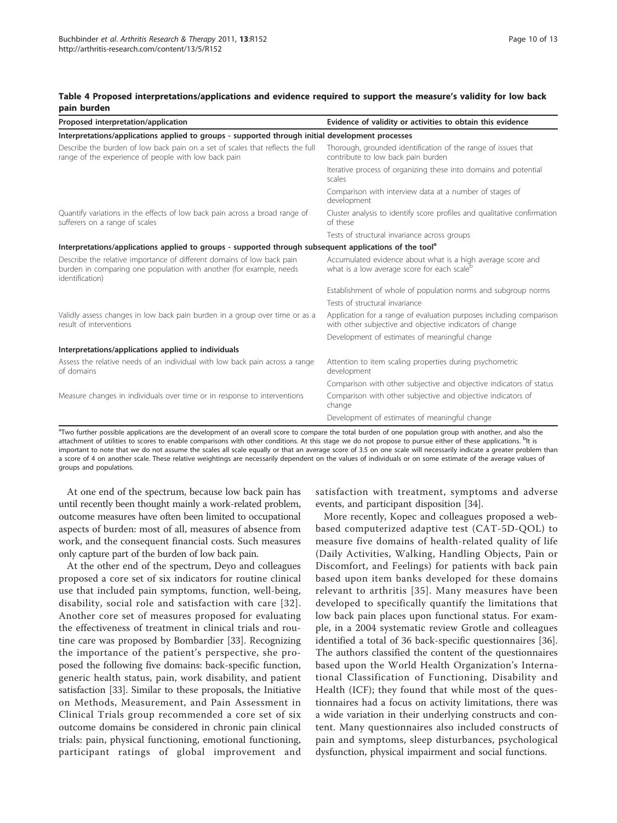#### <span id="page-10-0"></span>Table 4 Proposed interpretations/applications and evidence required to support the measure's validity for low back pain burden

| Proposed interpretation/application                                                                                                                              | Evidence of validity or activities to obtain this evidence                                                                                                                                                                                   |
|------------------------------------------------------------------------------------------------------------------------------------------------------------------|----------------------------------------------------------------------------------------------------------------------------------------------------------------------------------------------------------------------------------------------|
| Interpretations/applications applied to groups - supported through initial development processes                                                                 |                                                                                                                                                                                                                                              |
| Describe the burden of low back pain on a set of scales that reflects the full<br>range of the experience of people with low back pain                           | Thorough, grounded identification of the range of issues that<br>contribute to low back pain burden                                                                                                                                          |
|                                                                                                                                                                  | Iterative process of organizing these into domains and potential<br>scales                                                                                                                                                                   |
|                                                                                                                                                                  | Comparison with interview data at a number of stages of<br>development                                                                                                                                                                       |
| Quantify variations in the effects of low back pain across a broad range of<br>sufferers on a range of scales                                                    | Cluster analysis to identify score profiles and qualitative confirmation<br>of these                                                                                                                                                         |
|                                                                                                                                                                  | Tests of structural invariance across groups                                                                                                                                                                                                 |
| Interpretations/applications applied to groups - supported through subsequent applications of the tool <sup>a</sup>                                              |                                                                                                                                                                                                                                              |
| Describe the relative importance of different domains of low back pain<br>burden in comparing one population with another (for example, needs<br>identification) | Accumulated evidence about what is a high average score and<br>what is a low average score for each scale <sup>b</sup>                                                                                                                       |
|                                                                                                                                                                  | Establishment of whole of population norms and subgroup norms                                                                                                                                                                                |
|                                                                                                                                                                  | Tests of structural invariance                                                                                                                                                                                                               |
| Validly assess changes in low back pain burden in a group over time or as a<br>result of interventions                                                           | Application for a range of evaluation purposes including comparison<br>with other subjective and objective indicators of change                                                                                                              |
|                                                                                                                                                                  | Development of estimates of meaningful change                                                                                                                                                                                                |
| Interpretations/applications applied to individuals                                                                                                              |                                                                                                                                                                                                                                              |
| Assess the relative needs of an individual with low back pain across a range<br>of domains                                                                       | Attention to item scaling properties during psychometric<br>development                                                                                                                                                                      |
|                                                                                                                                                                  | Comparison with other subjective and objective indicators of status                                                                                                                                                                          |
| Measure changes in individuals over time or in response to interventions                                                                                         | Comparison with other subjective and objective indicators of<br>change                                                                                                                                                                       |
|                                                                                                                                                                  | Development of estimates of meaningful change                                                                                                                                                                                                |
| $\sim$ $\sim$<br>the contract of the contract of the contract of the contract of the contract of the contract of the contract of                                 | $\mathbf{a}$ and $\mathbf{a}$ and $\mathbf{a}$ and $\mathbf{a}$ and $\mathbf{a}$ and $\mathbf{a}$ and $\mathbf{a}$<br>$\sim$ $\sim$ $\sim$<br>As the second contract of the second contract of the second contract of the second contract of |

<sup>a</sup>Two further possible applications are the development of an overall score to compare the total burden of one population group with another, and also the attachment of utilities to scores to enable comparisons with other conditions. At this stage we do not propose to pursue either of these applications. <sup>b</sup>it is important to note that we do not assume the scales all scale equally or that an average score of 3.5 on one scale will necessarily indicate a greater problem than a score of 4 on another scale. These relative weightings are necessarily dependent on the values of individuals or on some estimate of the average values of groups and populations.

At one end of the spectrum, because low back pain has until recently been thought mainly a work-related problem, outcome measures have often been limited to occupational aspects of burden: most of all, measures of absence from work, and the consequent financial costs. Such measures only capture part of the burden of low back pain.

At the other end of the spectrum, Deyo and colleagues proposed a core set of six indicators for routine clinical use that included pain symptoms, function, well-being, disability, social role and satisfaction with care [[32\]](#page-13-0). Another core set of measures proposed for evaluating the effectiveness of treatment in clinical trials and routine care was proposed by Bombardier [[33](#page-13-0)]. Recognizing the importance of the patient's perspective, she proposed the following five domains: back-specific function, generic health status, pain, work disability, and patient satisfaction [\[33](#page-13-0)]. Similar to these proposals, the Initiative on Methods, Measurement, and Pain Assessment in Clinical Trials group recommended a core set of six outcome domains be considered in chronic pain clinical trials: pain, physical functioning, emotional functioning, participant ratings of global improvement and

satisfaction with treatment, symptoms and adverse events, and participant disposition [[34](#page-13-0)].

More recently, Kopec and colleagues proposed a webbased computerized adaptive test (CAT-5D-QOL) to measure five domains of health-related quality of life (Daily Activities, Walking, Handling Objects, Pain or Discomfort, and Feelings) for patients with back pain based upon item banks developed for these domains relevant to arthritis [[35\]](#page-13-0). Many measures have been developed to specifically quantify the limitations that low back pain places upon functional status. For example, in a 2004 systematic review Grotle and colleagues identified a total of 36 back-specific questionnaires [\[36](#page-13-0)]. The authors classified the content of the questionnaires based upon the World Health Organization's International Classification of Functioning, Disability and Health (ICF); they found that while most of the questionnaires had a focus on activity limitations, there was a wide variation in their underlying constructs and content. Many questionnaires also included constructs of pain and symptoms, sleep disturbances, psychological dysfunction, physical impairment and social functions.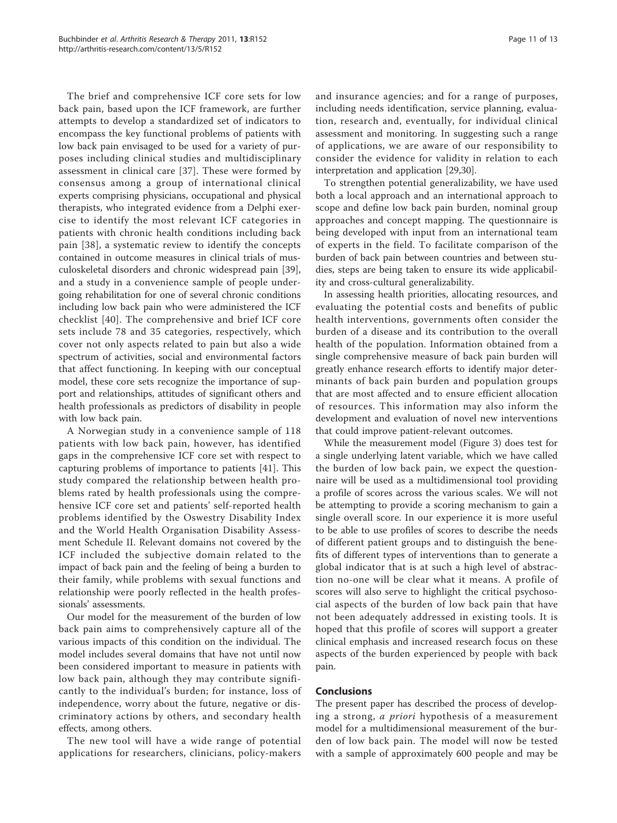The brief and comprehensive ICF core sets for low back pain, based upon the ICF framework, are further attempts to develop a standardized set of indicators to encompass the key functional problems of patients with low back pain envisaged to be used for a variety of purposes including clinical studies and multidisciplinary assessment in clinical care [[37](#page-13-0)]. These were formed by consensus among a group of international clinical experts comprising physicians, occupational and physical therapists, who integrated evidence from a Delphi exercise to identify the most relevant ICF categories in patients with chronic health conditions including back pain [[38](#page-13-0)], a systematic review to identify the concepts contained in outcome measures in clinical trials of musculoskeletal disorders and chronic widespread pain [\[39](#page-13-0)], and a study in a convenience sample of people undergoing rehabilitation for one of several chronic conditions including low back pain who were administered the ICF checklist [\[40\]](#page-13-0). The comprehensive and brief ICF core sets include 78 and 35 categories, respectively, which cover not only aspects related to pain but also a wide spectrum of activities, social and environmental factors that affect functioning. In keeping with our conceptual model, these core sets recognize the importance of support and relationships, attitudes of significant others and health professionals as predictors of disability in people with low back pain.

A Norwegian study in a convenience sample of 118 patients with low back pain, however, has identified gaps in the comprehensive ICF core set with respect to capturing problems of importance to patients [[41](#page-13-0)]. This study compared the relationship between health problems rated by health professionals using the comprehensive ICF core set and patients' self-reported health problems identified by the Oswestry Disability Index and the World Health Organisation Disability Assessment Schedule II. Relevant domains not covered by the ICF included the subjective domain related to the impact of back pain and the feeling of being a burden to their family, while problems with sexual functions and relationship were poorly reflected in the health professionals' assessments.

Our model for the measurement of the burden of low back pain aims to comprehensively capture all of the various impacts of this condition on the individual. The model includes several domains that have not until now been considered important to measure in patients with low back pain, although they may contribute significantly to the individual's burden; for instance, loss of independence, worry about the future, negative or discriminatory actions by others, and secondary health effects, among others.

The new tool will have a wide range of potential applications for researchers, clinicians, policy-makers and insurance agencies; and for a range of purposes, including needs identification, service planning, evaluation, research and, eventually, for individual clinical assessment and monitoring. In suggesting such a range of applications, we are aware of our responsibility to consider the evidence for validity in relation to each interpretation and application [\[29,30](#page-12-0)].

To strengthen potential generalizability, we have used both a local approach and an international approach to scope and define low back pain burden, nominal group approaches and concept mapping. The questionnaire is being developed with input from an international team of experts in the field. To facilitate comparison of the burden of back pain between countries and between studies, steps are being taken to ensure its wide applicability and cross-cultural generalizability.

In assessing health priorities, allocating resources, and evaluating the potential costs and benefits of public health interventions, governments often consider the burden of a disease and its contribution to the overall health of the population. Information obtained from a single comprehensive measure of back pain burden will greatly enhance research efforts to identify major determinants of back pain burden and population groups that are most affected and to ensure efficient allocation of resources. This information may also inform the development and evaluation of novel new interventions that could improve patient-relevant outcomes.

While the measurement model (Figure [3\)](#page-8-0) does test for a single underlying latent variable, which we have called the burden of low back pain, we expect the questionnaire will be used as a multidimensional tool providing a profile of scores across the various scales. We will not be attempting to provide a scoring mechanism to gain a single overall score. In our experience it is more useful to be able to use profiles of scores to describe the needs of different patient groups and to distinguish the benefits of different types of interventions than to generate a global indicator that is at such a high level of abstraction no-one will be clear what it means. A profile of scores will also serve to highlight the critical psychosocial aspects of the burden of low back pain that have not been adequately addressed in existing tools. It is hoped that this profile of scores will support a greater clinical emphasis and increased research focus on these aspects of the burden experienced by people with back pain.

## Conclusions

The present paper has described the process of developing a strong, a priori hypothesis of a measurement model for a multidimensional measurement of the burden of low back pain. The model will now be tested with a sample of approximately 600 people and may be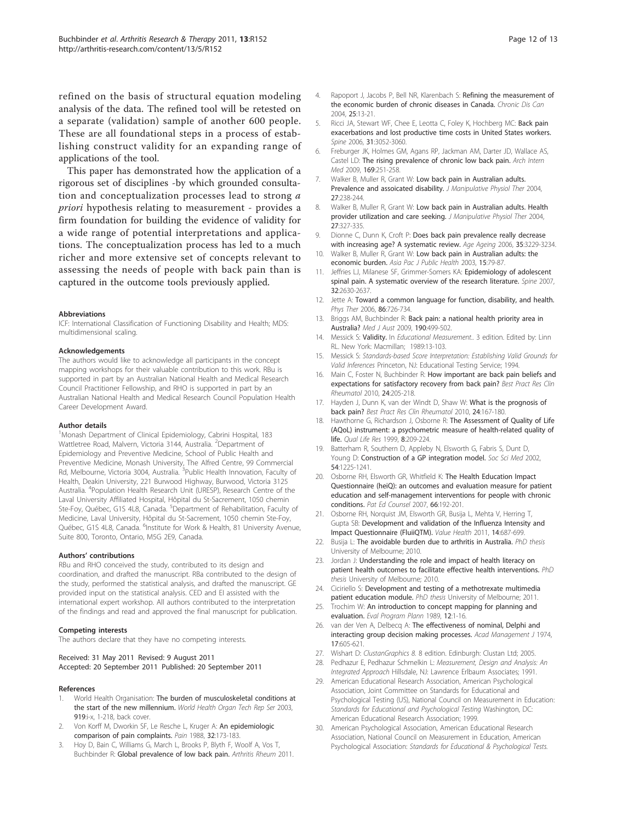<span id="page-12-0"></span>refined on the basis of structural equation modeling analysis of the data. The refined tool will be retested on a separate (validation) sample of another 600 people. These are all foundational steps in a process of establishing construct validity for an expanding range of applications of the tool.

This paper has demonstrated how the application of a rigorous set of disciplines -by which grounded consultation and conceptualization processes lead to strong a priori hypothesis relating to measurement - provides a firm foundation for building the evidence of validity for a wide range of potential interpretations and applications. The conceptualization process has led to a much richer and more extensive set of concepts relevant to assessing the needs of people with back pain than is captured in the outcome tools previously applied.

#### **Abbreviations**

ICF: International Classification of Functioning Disability and Health; MDS: multidimensional scaling.

#### Acknowledgements

The authors would like to acknowledge all participants in the concept mapping workshops for their valuable contribution to this work. RBu is supported in part by an Australian National Health and Medical Research Council Practitioner Fellowship, and RHO is supported in part by an Australian National Health and Medical Research Council Population Health Career Development Award.

#### Author details

<sup>1</sup>Monash Department of Clinical Epidemiology, Cabrini Hospital, 183 Wattletree Road, Malvern, Victoria 3144, Australia. <sup>2</sup>Department of Epidemiology and Preventive Medicine, School of Public Health and Preventive Medicine, Monash University, The Alfred Centre, 99 Commercial<br>Rd, Melbourne, Victoria 3004, Australia. <sup>3</sup>Public Health Innovation, Faculty of Health, Deakin University, 221 Burwood Highway, Burwood, Victoria 3125 Australia. <sup>4</sup> Population Health Research Unit (URESP), Research Centre of the Laval University Affiliated Hospital, Hôpital du St-Sacrement, 1050 chemin Ste-Foy, Québec, G1S 4L8, Canada. <sup>5</sup>Department of Rehabilitation, Faculty of Medicine, Laval University, Hôpital du St-Sacrement, 1050 chemin Ste-Foy, Québec, G1S 4L8, Canada. <sup>6</sup>Institute for Work & Health, 81 University Avenue, Suite 800, Toronto, Ontario, M5G 2E9, Canada.

#### Authors' contributions

RBu and RHO conceived the study, contributed to its design and coordination, and drafted the manuscript. RBa contributed to the design of the study, performed the statistical analysis, and drafted the manuscript. GE provided input on the statistical analysis. CED and EI assisted with the international expert workshop. All authors contributed to the interpretation of the findings and read and approved the final manuscript for publication.

#### Competing interests

The authors declare that they have no competing interests.

#### Received: 31 May 2011 Revised: 9 August 2011 Accepted: 20 September 2011 Published: 20 September 2011

#### References

- World Health Organisation: [The burden of musculoskeletal conditions at](http://www.ncbi.nlm.nih.gov/pubmed/14679827?dopt=Abstract) [the start of the new millennium.](http://www.ncbi.nlm.nih.gov/pubmed/14679827?dopt=Abstract) World Health Organ Tech Rep Ser 2003, 919:i-x, 1-218, back cover.
- 2. Von Korff M, Dworkin SF, Le Resche L, Kruger A: [An epidemiologic](http://www.ncbi.nlm.nih.gov/pubmed/3362555?dopt=Abstract) [comparison of pain complaints.](http://www.ncbi.nlm.nih.gov/pubmed/3362555?dopt=Abstract) Pain 1988, 32:173-183.
- Hoy D, Bain C, Williams G, March L, Brooks P, Blyth F, Woolf A, Vos T, Buchbinder R: Global prevalence of low back pain. Arthritis Rheum 2011.
- 4. Rapoport J, Jacobs P, Bell NR, Klarenbach S: [Refining the measurement of](http://www.ncbi.nlm.nih.gov/pubmed/15298484?dopt=Abstract) [the economic burden of chronic diseases in Canada.](http://www.ncbi.nlm.nih.gov/pubmed/15298484?dopt=Abstract) Chronic Dis Can 2004, 25:13-21.
- 5. Ricci JA, Stewart WF, Chee E, Leotta C, Foley K, Hochberg MC: [Back pain](http://www.ncbi.nlm.nih.gov/pubmed/17173003?dopt=Abstract) [exacerbations and lost productive time costs in United States workers.](http://www.ncbi.nlm.nih.gov/pubmed/17173003?dopt=Abstract) Spine 2006, 31:3052-3060.
- 6. Freburger JK, Holmes GM, Agans RP, Jackman AM, Darter JD, Wallace AS, Castel LD: [The rising prevalence of chronic low back pain.](http://www.ncbi.nlm.nih.gov/pubmed/19204216?dopt=Abstract) Arch Intern Med 2009, 169:251-258.
- 7. Walker B, Muller R, Grant W: [Low back pain in Australian adults.](http://www.ncbi.nlm.nih.gov/pubmed/15148462?dopt=Abstract) [Prevalence and assoicated disability.](http://www.ncbi.nlm.nih.gov/pubmed/15148462?dopt=Abstract) J Manipulative Physiol Ther 2004, 27:238-244.
- 8. Walker B, Muller R, Grant W: [Low back pain in Australian adults. Health](http://www.ncbi.nlm.nih.gov/pubmed/15195040?dopt=Abstract) [provider utilization and care seeking.](http://www.ncbi.nlm.nih.gov/pubmed/15195040?dopt=Abstract) J Manipulative Physiol Ther 2004, 27:327-335.
- 9. Dionne C, Dunn K, Croft P: Does back pain prevalence really decrease with increasing age? A systematic review. Age Ageing 2006, 35:3229-3234.
- 10. Walker B, Muller R, Grant W: [Low back pain in Australian adults: the](http://www.ncbi.nlm.nih.gov/pubmed/15038680?dopt=Abstract) [economic burden.](http://www.ncbi.nlm.nih.gov/pubmed/15038680?dopt=Abstract) Asia Pac J Public Health 2003, 15:79-87.
- 11. Jeffries LJ, Milanese SF, Grimmer-Somers KA: [Epidemiology of adolescent](http://www.ncbi.nlm.nih.gov/pubmed/17978666?dopt=Abstract) [spinal pain. A systematic overview of the research literature.](http://www.ncbi.nlm.nih.gov/pubmed/17978666?dopt=Abstract) Spine 2007, 32:2630-2637.
- 12. Jette A: [Toward a common language for function, disability, and health.](http://www.ncbi.nlm.nih.gov/pubmed/16649895?dopt=Abstract) Phys Ther 2006, 86:726-734.
- 13. Briggs AM, Buchbinder R: [Back pain: a national health priority area in](http://www.ncbi.nlm.nih.gov/pubmed/19413521?dopt=Abstract) [Australia?](http://www.ncbi.nlm.nih.gov/pubmed/19413521?dopt=Abstract) Med J Aust 2009, 190:499-502.
- 14. Messick S: Validity. In Educational Measurement.. 3 edition. Edited by: Linn RL. New York: Macmillan; 1989:13-103.
- 15. Messick S: Standards-based Score Interpretation: Establishing Valid Grounds for Valid Inferences Princeton, NJ: Educational Testing Service; 1994.
- 16. Main C, Foster N, Buchbinder R: [How important are back pain beliefs and](http://www.ncbi.nlm.nih.gov/pubmed/20227642?dopt=Abstract) [expectations for satisfactory recovery from back pain?](http://www.ncbi.nlm.nih.gov/pubmed/20227642?dopt=Abstract) Best Pract Res Clin Rheumatol 2010, 24:205-218.
- 17. Hayden J, Dunn K, van der Windt D, Shaw W: [What is the prognosis of](http://www.ncbi.nlm.nih.gov/pubmed/20227639?dopt=Abstract) [back pain?](http://www.ncbi.nlm.nih.gov/pubmed/20227639?dopt=Abstract) Best Pract Res Clin Rheumatol 2010, 24:167-180.
- 18. Hawthorne G, Richardson J, Osborne R: [The Assessment of Quality of Life](http://www.ncbi.nlm.nih.gov/pubmed/10472152?dopt=Abstract) [\(AQoL\) instrument: a psychometric measure of health-related quality of](http://www.ncbi.nlm.nih.gov/pubmed/10472152?dopt=Abstract) [life.](http://www.ncbi.nlm.nih.gov/pubmed/10472152?dopt=Abstract) Qual Life Res 1999, 8:209-224.
- 19. Batterham R, Southern D, Appleby N, Elsworth G, Fabris S, Dunt D, Young D: [Construction of a GP integration model.](http://www.ncbi.nlm.nih.gov/pubmed/11989959?dopt=Abstract) Soc Sci Med 2002, 54:1225-1241.
- 20. Osborne RH, Elsworth GR, Whitfield K: The Health Education Impact Questionnaire (heiQ): an outcomes and evaluation measure for patient education and self-management interventions for people with chronic conditions. Pat Ed Counsel 2007, 66:192-201.
- 21. Osborne RH, Norquist JM, Elsworth GR, Busija L, Mehta V, Herring T, Gupta SB: [Development and validation of the Influenza Intensity and](http://www.ncbi.nlm.nih.gov/pubmed/21839407?dopt=Abstract) [Impact Questionnaire \(FluiiQTM\).](http://www.ncbi.nlm.nih.gov/pubmed/21839407?dopt=Abstract) Value Health 2011, 14:687-699.
- 22. Busija L: The avoidable burden due to arthritis in Australia. PhD thesis University of Melbourne; 2010.
- 23. Jordan J: Understanding the role and impact of health literacy on patient health outcomes to facilitate effective health interventions. PhD thesis University of Melbourne; 2010.
- 24. Ciciriello S: Development and testing of a methotrexate multimedia patient education module. PhD thesis University of Melbourne; 2011.
- 25. Trochim W: An introduction to concept mapping for planning and evaluation. Eval Program Plann 1989, 12:1-16.
- 26. van der Ven A, Delbecq A: The effectiveness of nominal, Delphi and interacting group decision making processes. Acad Management J 1974, 17:605-621.
- 27. Wishart D: ClustanGraphics 8. 8 edition. Edinburgh: Clustan Ltd; 2005.
- 28. Pedhazur E, Pedhazur Schmelkin L: Measurement, Design and Analysis: An Integrated Approach Hillsdale, NJ: Lawrence Erlbaum Associates; 1991.
- 29. American Educational Research Association, American Psychological Association, Joint Committee on Standards for Educational and Psychological Testing (US), National Council on Measurement in Education: Standards for Educational and Psychological Testing Washington, DC: American Educational Research Association; 1999.
- 30. American Psychological Association, American Educational Research Association, National Council on Measurement in Education, American Psychological Association: Standards for Educational & Psychological Tests.